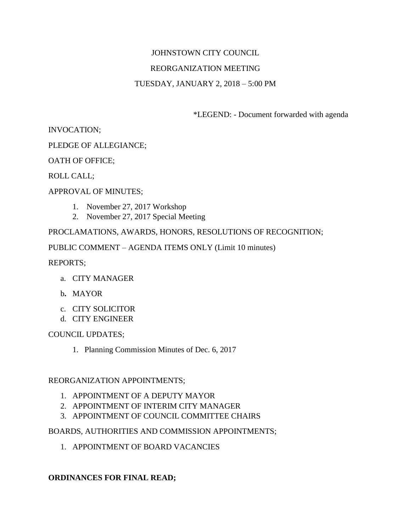# JOHNSTOWN CITY COUNCIL REORGANIZATION MEETING TUESDAY, JANUARY 2, 2018 – 5:00 PM

\*LEGEND: - Document forwarded with agenda

INVOCATION;

PLEDGE OF ALLEGIANCE;

OATH OF OFFICE;

ROLL CALL;

### APPROVAL OF MINUTES;

- 1. November 27, 2017 Workshop
- 2. November 27, 2017 Special Meeting

PROCLAMATIONS, AWARDS, HONORS, RESOLUTIONS OF RECOGNITION;

PUBLIC COMMENT – AGENDA ITEMS ONLY (Limit 10 minutes)

REPORTS;

- a. CITY MANAGER
- b**.** MAYOR
- c. CITY SOLICITOR
- d. CITY ENGINEER

#### COUNCIL UPDATES;

1. Planning Commission Minutes of Dec. 6, 2017

#### REORGANIZATION APPOINTMENTS;

- 1. APPOINTMENT OF A DEPUTY MAYOR
- 2. APPOINTMENT OF INTERIM CITY MANAGER
- 3. APPOINTMENT OF COUNCIL COMMITTEE CHAIRS

#### BOARDS, AUTHORITIES AND COMMISSION APPOINTMENTS;

1. APPOINTMENT OF BOARD VACANCIES

## **ORDINANCES FOR FINAL READ;**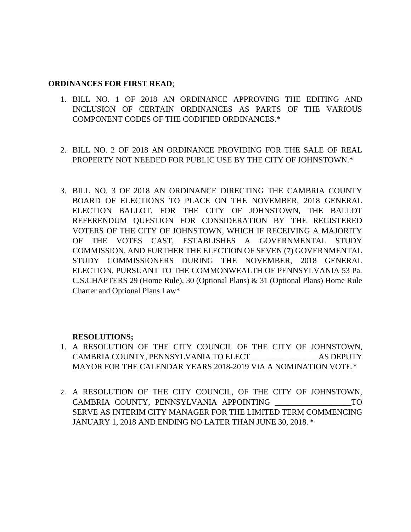#### **ORDINANCES FOR FIRST READ**;

- 1. BILL NO. 1 OF 2018 AN ORDINANCE APPROVING THE EDITING AND INCLUSION OF CERTAIN ORDINANCES AS PARTS OF THE VARIOUS COMPONENT CODES OF THE CODIFIED ORDINANCES.\*
- 2. BILL NO. 2 OF 2018 AN ORDINANCE PROVIDING FOR THE SALE OF REAL PROPERTY NOT NEEDED FOR PUBLIC USE BY THE CITY OF JOHNSTOWN.\*
- 3. BILL NO. 3 OF 2018 AN ORDINANCE DIRECTING THE CAMBRIA COUNTY BOARD OF ELECTIONS TO PLACE ON THE NOVEMBER, 2018 GENERAL ELECTION BALLOT, FOR THE CITY OF JOHNSTOWN, THE BALLOT REFERENDUM QUESTION FOR CONSIDERATION BY THE REGISTERED VOTERS OF THE CITY OF JOHNSTOWN, WHICH IF RECEIVING A MAJORITY OF THE VOTES CAST, ESTABLISHES A GOVERNMENTAL STUDY COMMISSION, AND FURTHER THE ELECTION OF SEVEN (7) GOVERNMENTAL STUDY COMMISSIONERS DURING THE NOVEMBER, 2018 GENERAL ELECTION, PURSUANT TO THE COMMONWEALTH OF PENNSYLVANIA 53 Pa. C.S.CHAPTERS 29 (Home Rule), 30 (Optional Plans) & 31 (Optional Plans) Home Rule Charter and Optional Plans Law\*

## **RESOLUTIONS;**

- 1. A RESOLUTION OF THE CITY COUNCIL OF THE CITY OF JOHNSTOWN, CAMBRIA COUNTY, PENNSYLVANIA TO ELECT\_\_\_\_\_\_\_\_\_\_\_\_\_\_\_\_\_AS DEPUTY MAYOR FOR THE CALENDAR YEARS 2018-2019 VIA A NOMINATION VOTE.\*
- 2. A RESOLUTION OF THE CITY COUNCIL, OF THE CITY OF JOHNSTOWN, CAMBRIA COUNTY, PENNSYLVANIA APPOINTING \_\_\_\_\_\_\_\_\_\_\_\_\_\_\_\_\_\_\_TO SERVE AS INTERIM CITY MANAGER FOR THE LIMITED TERM COMMENCING JANUARY 1, 2018 AND ENDING NO LATER THAN JUNE 30, 2018. \*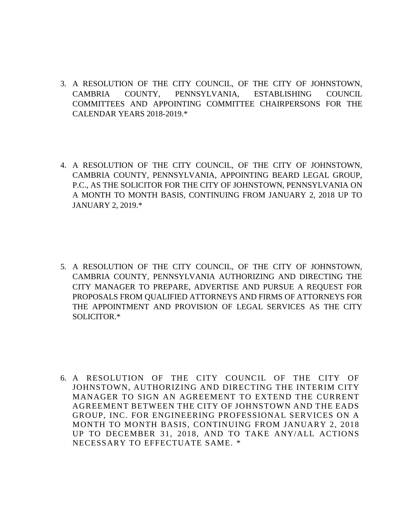- 3. A RESOLUTION OF THE CITY COUNCIL, OF THE CITY OF JOHNSTOWN, CAMBRIA COUNTY, PENNSYLVANIA, ESTABLISHING COUNCIL COMMITTEES AND APPOINTING COMMITTEE CHAIRPERSONS FOR THE CALENDAR YEARS 2018-2019.\*
- 4. A RESOLUTION OF THE CITY COUNCIL, OF THE CITY OF JOHNSTOWN, CAMBRIA COUNTY, PENNSYLVANIA, APPOINTING BEARD LEGAL GROUP, P.C., AS THE SOLICITOR FOR THE CITY OF JOHNSTOWN, PENNSYLVANIA ON A MONTH TO MONTH BASIS, CONTINUING FROM JANUARY 2, 2018 UP TO JANUARY 2, 2019.\*
- 5. A RESOLUTION OF THE CITY COUNCIL, OF THE CITY OF JOHNSTOWN, CAMBRIA COUNTY, PENNSYLVANIA AUTHORIZING AND DIRECTING THE CITY MANAGER TO PREPARE, ADVERTISE AND PURSUE A REQUEST FOR PROPOSALS FROM QUALIFIED ATTORNEYS AND FIRMS OF ATTORNEYS FOR THE APPOINTMENT AND PROVISION OF LEGAL SERVICES AS THE CITY SOLICITOR.\*
- 6. A RESOLUTION OF THE CITY COUNCIL OF THE CITY OF JOHNSTOWN, AUTHORIZING AND DIRECTING THE INTERIM CITY MANAGER TO SIGN AN AGREEMENT TO EXTEND THE CURRENT AGREEMENT BETWEEN THE CITY OF JOHNSTOWN AND THE EADS GROUP, INC. FOR ENGINEERING PROFESSIONAL SERVICES ON A MONTH TO MONTH BASIS, CONTINUING FROM JANUARY 2, 2018 UP TO DECEMBER 31, 2018, AND TO TAKE ANY/ALL ACTIONS NECESSARY TO EFFECTUATE SAME. \*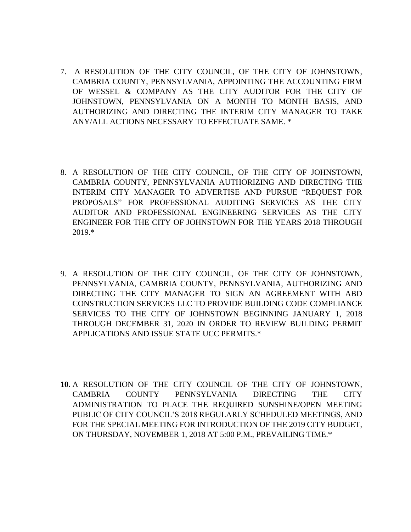- 7. A RESOLUTION OF THE CITY COUNCIL, OF THE CITY OF JOHNSTOWN, CAMBRIA COUNTY, PENNSYLVANIA, APPOINTING THE ACCOUNTING FIRM OF WESSEL & COMPANY AS THE CITY AUDITOR FOR THE CITY OF JOHNSTOWN, PENNSYLVANIA ON A MONTH TO MONTH BASIS, AND AUTHORIZING AND DIRECTING THE INTERIM CITY MANAGER TO TAKE ANY/ALL ACTIONS NECESSARY TO EFFECTUATE SAME. \*
- 8. A RESOLUTION OF THE CITY COUNCIL, OF THE CITY OF JOHNSTOWN, CAMBRIA COUNTY, PENNSYLVANIA AUTHORIZING AND DIRECTING THE INTERIM CITY MANAGER TO ADVERTISE AND PURSUE "REQUEST FOR PROPOSALS" FOR PROFESSIONAL AUDITING SERVICES AS THE CITY AUDITOR AND PROFESSIONAL ENGINEERING SERVICES AS THE CITY ENGINEER FOR THE CITY OF JOHNSTOWN FOR THE YEARS 2018 THROUGH 2019.\*
- 9. A RESOLUTION OF THE CITY COUNCIL, OF THE CITY OF JOHNSTOWN, PENNSYLVANIA, CAMBRIA COUNTY, PENNSYLVANIA, AUTHORIZING AND DIRECTING THE CITY MANAGER TO SIGN AN AGREEMENT WITH ABD CONSTRUCTION SERVICES LLC TO PROVIDE BUILDING CODE COMPLIANCE SERVICES TO THE CITY OF JOHNSTOWN BEGINNING JANUARY 1, 2018 THROUGH DECEMBER 31, 2020 IN ORDER TO REVIEW BUILDING PERMIT APPLICATIONS AND ISSUE STATE UCC PERMITS.\*
- **10.** A RESOLUTION OF THE CITY COUNCIL OF THE CITY OF JOHNSTOWN, CAMBRIA COUNTY PENNSYLVANIA DIRECTING THE CITY ADMINISTRATION TO PLACE THE REQUIRED SUNSHINE/OPEN MEETING PUBLIC OF CITY COUNCIL'S 2018 REGULARLY SCHEDULED MEETINGS, AND FOR THE SPECIAL MEETING FOR INTRODUCTION OF THE 2019 CITY BUDGET, ON THURSDAY, NOVEMBER 1, 2018 AT 5:00 P.M., PREVAILING TIME.\*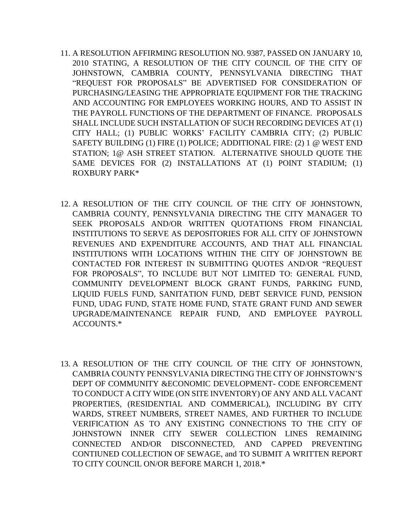- 11. A RESOLUTION AFFIRMING RESOLUTION NO. 9387, PASSED ON JANUARY 10, 2010 STATING, A RESOLUTION OF THE CITY COUNCIL OF THE CITY OF JOHNSTOWN, CAMBRIA COUNTY, PENNSYLVANIA DIRECTING THAT "REQUEST FOR PROPOSALS" BE ADVERTISED FOR CONSIDERATION OF PURCHASING/LEASING THE APPROPRIATE EQUIPMENT FOR THE TRACKING AND ACCOUNTING FOR EMPLOYEES WORKING HOURS, AND TO ASSIST IN THE PAYROLL FUNCTIONS OF THE DEPARTMENT OF FINANCE. PROPOSALS SHALL INCLUDE SUCH INSTALLATION OF SUCH RECORDING DEVICES AT (1) CITY HALL; (1) PUBLIC WORKS' FACILITY CAMBRIA CITY; (2) PUBLIC SAFETY BUILDING (1) FIRE (1) POLICE; ADDITIONAL FIRE: (2) 1 @ WEST END STATION; 1@ ASH STREET STATION. ALTERNATIVE SHOULD QUOTE THE SAME DEVICES FOR (2) INSTALLATIONS AT (1) POINT STADIUM; (1) ROXBURY PARK\*
- 12. A RESOLUTION OF THE CITY COUNCIL OF THE CITY OF JOHNSTOWN, CAMBRIA COUNTY, PENNSYLVANIA DIRECTING THE CITY MANAGER TO SEEK PROPOSALS AND/OR WRITTEN QUOTATIONS FROM FINANCIAL INSTITUTIONS TO SERVE AS DEPOSITORIES FOR ALL CITY OF JOHNSTOWN REVENUES AND EXPENDITURE ACCOUNTS, AND THAT ALL FINANCIAL INSTITUTIONS WITH LOCATIONS WITHIN THE CITY OF JOHNSTOWN BE CONTACTED FOR INTEREST IN SUBMITTING QUOTES AND/OR "REQUEST FOR PROPOSALS", TO INCLUDE BUT NOT LIMITED TO: GENERAL FUND, COMMUNITY DEVELOPMENT BLOCK GRANT FUNDS, PARKING FUND, LIQUID FUELS FUND, SANITATION FUND, DEBT SERVICE FUND, PENSION FUND, UDAG FUND, STATE HOME FUND, STATE GRANT FUND AND SEWER UPGRADE/MAINTENANCE REPAIR FUND, AND EMPLOYEE PAYROLL ACCOUNTS.\*
- 13. A RESOLUTION OF THE CITY COUNCIL OF THE CITY OF JOHNSTOWN, CAMBRIA COUNTY PENNSYLVANIA DIRECTING THE CITY OF JOHNSTOWN'S DEPT OF COMMUNITY &ECONOMIC DEVELOPMENT- CODE ENFORCEMENT TO CONDUCT A CITY WIDE (ON SITE INVENTORY) OF ANY AND ALL VACANT PROPERTIES, (RESIDENTIAL AND COMMERICAL), INCLUDING BY CITY WARDS, STREET NUMBERS, STREET NAMES, AND FURTHER TO INCLUDE VERIFICATION AS TO ANY EXISTING CONNECTIONS TO THE CITY OF JOHNSTOWN INNER CITY SEWER COLLECTION LINES REMAINING CONNECTED AND/OR DISCONNECTED, AND CAPPED PREVENTING CONTIUNED COLLECTION OF SEWAGE, and TO SUBMIT A WRITTEN REPORT TO CITY COUNCIL ON/OR BEFORE MARCH 1, 2018.\*